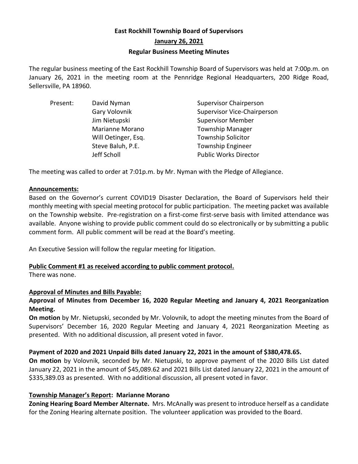# **East Rockhill Township Board of Supervisors January 26, 2021 Regular Business Meeting Minutes**

The regular business meeting of the East Rockhill Township Board of Supervisors was held at 7:00p.m. on January 26, 2021 in the meeting room at the Pennridge Regional Headquarters, 200 Ridge Road, Sellersville, PA 18960.

| Present: | David Nyman         | <b>Supervisor Chairperson</b>      |
|----------|---------------------|------------------------------------|
|          | Gary Volovnik       | <b>Supervisor Vice-Chairperson</b> |
|          | Jim Nietupski       | <b>Supervisor Member</b>           |
|          | Marianne Morano     | <b>Township Manager</b>            |
|          | Will Oetinger, Esq. | <b>Township Solicitor</b>          |
|          | Steve Baluh, P.E.   | <b>Township Engineer</b>           |
|          | Jeff Scholl         | <b>Public Works Director</b>       |

The meeting was called to order at 7:01p.m. by Mr. Nyman with the Pledge of Allegiance.

## **Announcements:**

Based on the Governor's current COVID19 Disaster Declaration, the Board of Supervisors held their monthly meeting with special meeting protocol for public participation. The meeting packet was available on the Township website. Pre-registration on a first-come first-serve basis with limited attendance was available. Anyone wishing to provide public comment could do so electronically or by submitting a public comment form. All public comment will be read at the Board's meeting.

An Executive Session will follow the regular meeting for litigation.

## **Public Comment #1 as received according to public comment protocol.**

There was none.

## **Approval of Minutes and Bills Payable:**

## **Approval of Minutes from December 16, 2020 Regular Meeting and January 4, 2021 Reorganization Meeting.**

**On motion** by Mr. Nietupski, seconded by Mr. Volovnik, to adopt the meeting minutes from the Board of Supervisors' December 16, 2020 Regular Meeting and January 4, 2021 Reorganization Meeting as presented. With no additional discussion, all present voted in favor.

## **Payment of 2020 and 2021 Unpaid Bills dated January 22, 2021 in the amount of \$380,478.65.**

**On motion** by Volovnik, seconded by Mr. Nietupski, to approve payment of the 2020 Bills List dated January 22, 2021 in the amount of \$45,089.62 and 2021 Bills List dated January 22, 2021 in the amount of \$335,389.03 as presented. With no additional discussion, all present voted in favor.

## **Township Manager's Report: Marianne Morano**

**Zoning Hearing Board Member Alternate.** Mrs. McAnally was present to introduce herself as a candidate for the Zoning Hearing alternate position. The volunteer application was provided to the Board.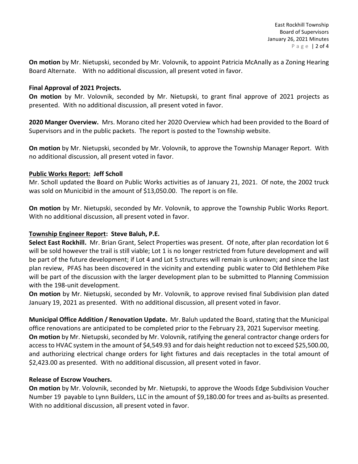**On motion** by Mr. Nietupski, seconded by Mr. Volovnik, to appoint Patricia McAnally as a Zoning Hearing Board Alternate. With no additional discussion, all present voted in favor.

### **Final Approval of 2021 Projects.**

**On motion** by Mr. Volovnik, seconded by Mr. Nietupski, to grant final approve of 2021 projects as presented. With no additional discussion, all present voted in favor.

**2020 Manger Overview.** Mrs. Morano cited her 2020 Overview which had been provided to the Board of Supervisors and in the public packets. The report is posted to the Township website.

**On motion** by Mr. Nietupski, seconded by Mr. Volovnik, to approve the Township Manager Report. With no additional discussion, all present voted in favor.

## **Public Works Report: Jeff Scholl**

Mr. Scholl updated the Board on Public Works activities as of January 21, 2021. Of note, the 2002 truck was sold on Municibid in the amount of \$13,050.00. The report is on file.

**On motion** by Mr. Nietupski, seconded by Mr. Volovnik, to approve the Township Public Works Report. With no additional discussion, all present voted in favor.

## **Township Engineer Report: Steve Baluh, P.E.**

**Select East Rockhill.** Mr. Brian Grant, Select Properties was present. Of note, after plan recordation lot 6 will be sold however the trail is still viable; Lot 1 is no longer restricted from future development and will be part of the future development; if Lot 4 and Lot 5 structures will remain is unknown; and since the last plan review, PFAS has been discovered in the vicinity and extending public water to Old Bethlehem Pike will be part of the discussion with the larger development plan to be submitted to Planning Commission with the 198-unit development.

**On motion** by Mr. Nietupski, seconded by Mr. Volovnik, to approve revised final Subdivision plan dated January 19, 2021 as presented. With no additional discussion, all present voted in favor.

**Municipal Office Addition / Renovation Update.** Mr. Baluh updated the Board, stating that the Municipal office renovations are anticipated to be completed prior to the February 23, 2021 Supervisor meeting. **On motion** by Mr. Nietupski, seconded by Mr. Volovnik, ratifying the general contractor change orders for access to HVAC system in the amount of \$4,549.93 and for dais height reduction not to exceed \$25,500.00, and authorizing electrical change orders for light fixtures and dais receptacles in the total amount of \$2,423.00 as presented. With no additional discussion, all present voted in favor.

#### **Release of Escrow Vouchers.**

**On motion** by Mr. Volovnik, seconded by Mr. Nietupski, to approve the Woods Edge Subdivision Voucher Number 19 payable to Lynn Builders, LLC in the amount of \$9,180.00 for trees and as-builts as presented. With no additional discussion, all present voted in favor.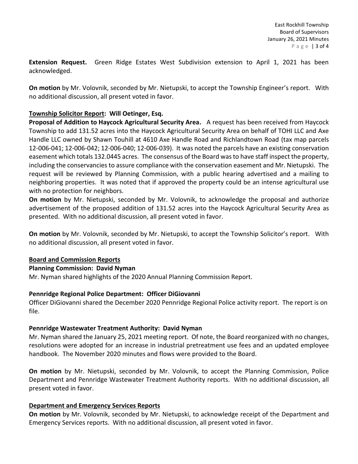**Extension Request.** Green Ridge Estates West Subdivision extension to April 1, 2021 has been acknowledged.

**On motion** by Mr. Volovnik, seconded by Mr. Nietupski, to accept the Township Engineer's report. With no additional discussion, all present voted in favor.

## **Township Solicitor Report: Will Oetinger, Esq.**

**Proposal of Addition to Haycock Agricultural Security Area.** A request has been received from Haycock Township to add 131.52 acres into the Haycock Agricultural Security Area on behalf of TOHI LLC and Axe Handle LLC owned by Shawn Touhill at 4610 Axe Handle Road and Richlandtown Road (tax map parcels 12-006-041; 12-006-042; 12-006-040; 12-006-039). It was noted the parcels have an existing conservation easement which totals 132.0445 acres. The consensus of the Board was to have staff inspect the property, including the conservancies to assure compliance with the conservation easement and Mr. Nietupski. The request will be reviewed by Planning Commission, with a public hearing advertised and a mailing to neighboring properties. It was noted that if approved the property could be an intense agricultural use with no protection for neighbors.

**On motion** by Mr. Nietupski, seconded by Mr. Volovnik, to acknowledge the proposal and authorize advertisement of the proposed addition of 131.52 acres into the Haycock Agricultural Security Area as presented. With no additional discussion, all present voted in favor.

**On motion** by Mr. Volovnik, seconded by Mr. Nietupski, to accept the Township Solicitor's report. With no additional discussion, all present voted in favor.

## **Board and Commission Reports**

## **Planning Commission: David Nyman**

Mr. Nyman shared highlights of the 2020 Annual Planning Commission Report.

## **Pennridge Regional Police Department: Officer DiGiovanni**

Officer DiGiovanni shared the December 2020 Pennridge Regional Police activity report. The report is on file.

## **Pennridge Wastewater Treatment Authority: David Nyman**

Mr. Nyman shared the January 25, 2021 meeting report. Of note, the Board reorganized with no changes, resolutions were adopted for an increase in industrial pretreatment use fees and an updated employee handbook. The November 2020 minutes and flows were provided to the Board.

**On motion** by Mr. Nietupski, seconded by Mr. Volovnik, to accept the Planning Commission, Police Department and Pennridge Wastewater Treatment Authority reports. With no additional discussion, all present voted in favor.

## **Department and Emergency Services Reports**

**On motion** by Mr. Volovnik, seconded by Mr. Nietupski, to acknowledge receipt of the Department and Emergency Services reports. With no additional discussion, all present voted in favor.